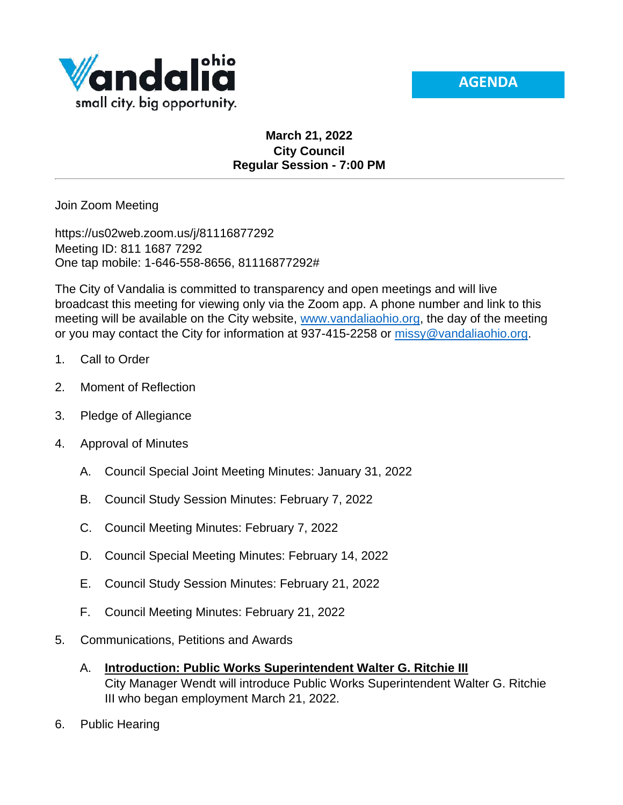



## **March 21, 2022 City Council Regular Session - 7:00 PM**

Join Zoom Meeting

https://us02web.zoom.us/j/81116877292 Meeting ID: 811 1687 7292 One tap mobile: 1-646-558-8656, 81116877292#

The City of Vandalia is committed to transparency and open meetings and will live broadcast this meeting for viewing only via the Zoom app. A phone number and link to this meeting will be available on the City website, [www.vandaliaohio.org,](http://www.vandaliaohio.org/) the day of the meeting or you may contact the City for information at 937-415-2258 or [missy@vandaliaohio.org.](mailto:missy@vandaliaohio.org)

- 1. Call to Order
- 2. Moment of Reflection
- 3. Pledge of Allegiance
- 4. Approval of Minutes
	- A. Council Special Joint Meeting Minutes: January 31, 2022
	- B. Council Study Session Minutes: February 7, 2022
	- C. Council Meeting Minutes: February 7, 2022
	- D. Council Special Meeting Minutes: February 14, 2022
	- E. Council Study Session Minutes: February 21, 2022
	- F. Council Meeting Minutes: February 21, 2022
- 5. Communications, Petitions and Awards
	- A. **Introduction: Public Works Superintendent Walter G. Ritchie III** City Manager Wendt will introduce Public Works Superintendent Walter G. Ritchie III who began employment March 21, 2022.
- 6. Public Hearing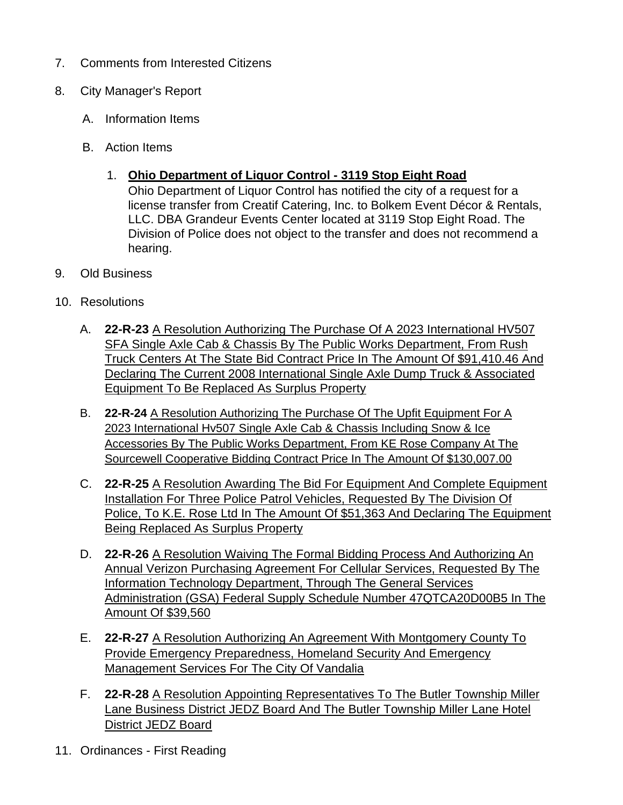- 7. Comments from Interested Citizens
- 8. City Manager's Report
	- A. Information Items
	- B. Action Items
		- 1. **Ohio Department of Liquor Control - 3119 Stop Eight Road**

Ohio Department of Liquor Control has notified the city of a request for a license transfer from Creatif Catering, Inc. to Bolkem Event Décor & Rentals, LLC. DBA Grandeur Events Center located at 3119 Stop Eight Road. The Division of Police does not object to the transfer and does not recommend a hearing.

- 9. Old Business
- 10. Resolutions
	- A. **22-R-23** A Resolution Authorizing The Purchase Of A 2023 International HV507 SFA Single Axle Cab & Chassis By The Public Works Department, From Rush Truck Centers At The State Bid Contract Price In The Amount Of \$91,410.46 And Declaring The Current 2008 International Single Axle Dump Truck & Associated Equipment To Be Replaced As Surplus Property
	- B. **22-R-24** A Resolution Authorizing The Purchase Of The Upfit Equipment For A 2023 International Hv507 Single Axle Cab & Chassis Including Snow & Ice Accessories By The Public Works Department, From KE Rose Company At The Sourcewell Cooperative Bidding Contract Price In The Amount Of \$130,007.00
	- C. **22-R-25** A Resolution Awarding The Bid For Equipment And Complete Equipment Installation For Three Police Patrol Vehicles, Requested By The Division Of Police, To K.E. Rose Ltd In The Amount Of \$51,363 And Declaring The Equipment Being Replaced As Surplus Property
	- D. **22-R-26** A Resolution Waiving The Formal Bidding Process And Authorizing An Annual Verizon Purchasing Agreement For Cellular Services, Requested By The Information Technology Department, Through The General Services Administration (GSA) Federal Supply Schedule Number 47QTCA20D00B5 In The Amount Of \$39,560
	- E. **22-R-27** A Resolution Authorizing An Agreement With Montgomery County To Provide Emergency Preparedness, Homeland Security And Emergency Management Services For The City Of Vandalia
	- F. **22-R-28** A Resolution Appointing Representatives To The Butler Township Miller Lane Business District JEDZ Board And The Butler Township Miller Lane Hotel District JEDZ Board
- 11. Ordinances First Reading